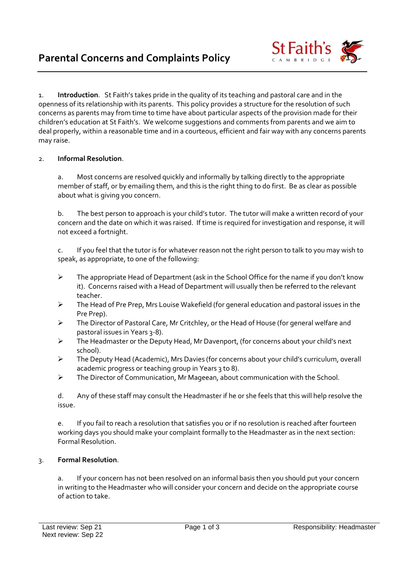

1. **Introduction**. St Faith's takes pride in the quality of its teaching and pastoral care and in the openness of its relationship with its parents. This policy provides a structure for the resolution of such concerns as parents may from time to time have about particular aspects of the provision made for their children's education at St Faith's. We welcome suggestions and comments from parents and we aim to deal properly, within a reasonable time and in a courteous, efficient and fair way with any concerns parents may raise.

## 2. **Informal Resolution**.

a. Most concerns are resolved quickly and informally by talking directly to the appropriate member of staff, or by emailing them, and this is the right thing to do first. Be as clear as possible about what is giving you concern.

b. The best person to approach is your child's tutor. The tutor will make a written record of your concern and the date on which it was raised. If time is required for investigation and response, it will not exceed a fortnight.

c. If you feel that the tutor is for whatever reason not the right person to talk to you may wish to speak, as appropriate, to one of the following:

- ➢ The appropriate Head of Department (ask in the School Office for the name if you don't know it). Concerns raised with a Head of Department will usually then be referred to the relevant teacher.
- ➢ The Head of Pre Prep, Mrs Louise Wakefield (for general education and pastoral issues in the Pre Prep).
- ➢ The Director of Pastoral Care, Mr Critchley, or the Head of House (for general welfare and pastoral issues in Years 3-8).
- ➢ The Headmaster or the Deputy Head, Mr Davenport, (for concerns about your child's next school).
- ➢ The Deputy Head (Academic), Mrs Davies (for concerns about your child's curriculum, overall academic progress or teaching group in Years 3 to 8).
- ➢ The Director of Communication, Mr Mageean, about communication with the School.

d. Any of these staff may consult the Headmaster if he or she feels that this will help resolve the issue.

e. If you fail to reach a resolution that satisfies you or if no resolution is reached after fourteen working days you should make your complaint formally to the Headmaster as in the next section: Formal Resolution.

## 3. **Formal Resolution**.

a. If your concern has not been resolved on an informal basis then you should put your concern in writing to the Headmaster who will consider your concern and decide on the appropriate course of action to take.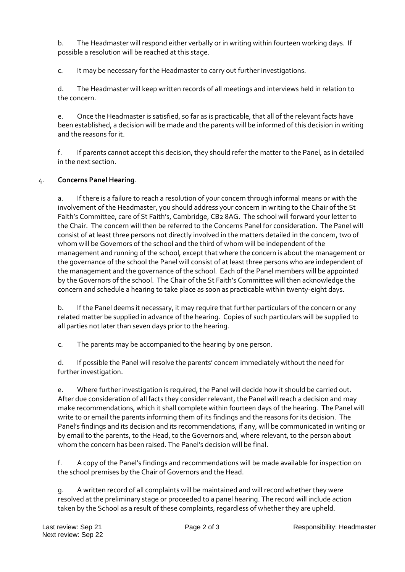b. The Headmaster will respond either verbally or in writing within fourteen working days. If possible a resolution will be reached at this stage.

c. It may be necessary for the Headmaster to carry out further investigations.

d. The Headmaster will keep written records of all meetings and interviews held in relation to the concern.

e. Once the Headmaster is satisfied, so far as is practicable, that all of the relevant facts have been established, a decision will be made and the parents will be informed of this decision in writing and the reasons for it.

f. If parents cannot accept this decision, they should refer the matter to the Panel, as in detailed in the next section.

## 4. **Concerns Panel Hearing**.

a. If there is a failure to reach a resolution of your concern through informal means or with the involvement of the Headmaster, you should address your concern in writing to the Chair of the St Faith's Committee, care of St Faith's, Cambridge, CB2 8AG. The school will forward your letter to the Chair. The concern will then be referred to the Concerns Panel for consideration. The Panel will consist of at least three persons not directly involved in the matters detailed in the concern, two of whom will be Governors of the school and the third of whom will be independent of the management and running of the school, except that where the concern is about the management or the governance of the school the Panel will consist of at least three persons who are independent of the management and the governance of the school. Each of the Panel members will be appointed by the Governors of the school. The Chair of the St Faith's Committee will then acknowledge the concern and schedule a hearing to take place as soon as practicable within twenty-eight days.

b. If the Panel deems it necessary, it may require that further particulars of the concern or any related matter be supplied in advance of the hearing. Copies of such particulars will be supplied to all parties not later than seven days prior to the hearing.

c. The parents may be accompanied to the hearing by one person.

d. If possible the Panel will resolve the parents' concern immediately without the need for further investigation.

e. Where further investigation is required, the Panel will decide how it should be carried out. After due consideration of all facts they consider relevant, the Panel will reach a decision and may make recommendations, which it shall complete within fourteen days of the hearing. The Panel will write to or email the parents informing them of its findings and the reasons for its decision. The Panel's findings and its decision and its recommendations, if any, will be communicated in writing or by email to the parents, to the Head, to the Governors and, where relevant, to the person about whom the concern has been raised. The Panel's decision will be final.

f. A copy of the Panel's findings and recommendations will be made available for inspection on the school premises by the Chair of Governors and the Head.

g. A written record of all complaints will be maintained and will record whether they were resolved at the preliminary stage or proceeded to a panel hearing. The record will include action taken by the School as a result of these complaints, regardless of whether they are upheld.